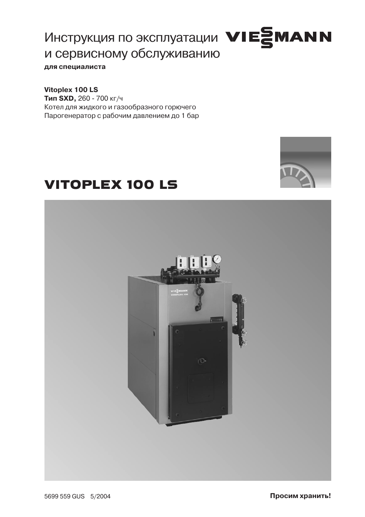# Инструкция по эксплуатации VIESMANN и сервисному обслуживанию для специалиста

Vitoplex 100 LS Тип SXD, 260 - 700 кг/ч Котел для жидкого и газообразного горючего Парогенератор с рабочим давлением до 1 бар

# **VITOPLEX 100 LS**



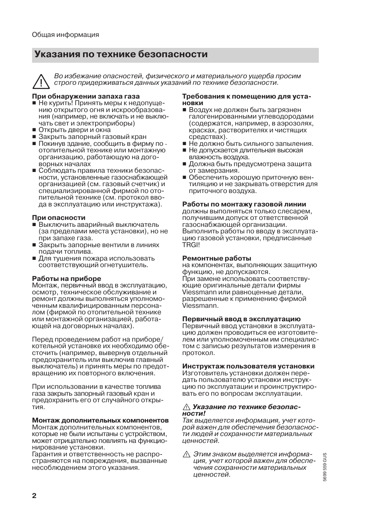# Указания по технике безопасности



Во избежание опасностей, физического и материального ущерба просим строго придерживаться данных указаний по технике безопасности.

#### При обнаружении запаха газа

- Не курить! Принять меры к недопущению открытого огня и искрообразования (например, не включать и не выключать свет и электроприборы)
- Открыть двери и окна
- Закрыть запорный газовый кран
- Покинув здание, сообщить в фирму по отопительной технике или монтажную организацию, работающую на договорных началах
- Соблюлать правила техники безопасности, установленные газоснабжающей организацией (см. газовый счетчик) и специализированной фирмой по отопительной технике (см. протокол ввода в эксплуатацию или инструктажа).

#### При опасности

- Выключить аварийный выключатель (за пределами места установки), но не при запахе газа.
- Закрыть запорные вентили в линиях подачи топлива.
- Для тушения пожара использовать соответствующий огнетушитель.

#### Работы на приборе

Монтаж, первичный ввод в эксплуатацию. осмотр, техническое обслуживание и ремонт должны выполняться уполномоченным квалифицированным персоналом (фирмой по отопительной технике или монтажной организацией, работающей на договорных началах).

Перед проведением работ на приборе/ котельной установке их необходимо обесточить (например, вывернув отдельный предохранитель или выключив главный выключатель) и принять меры по предотвращению их повторного включения.

При использовании в качестве топлива газа закрыть запорный газовый кран и предохранить его от случайного открытия

#### Монтаж дополнительных компонентов

Монтаж дополнительных компонентов, которые не были испытаны с устройством. может отрицательно повлиять на функционирование установки.

Гарантия и ответственность не распространяются на повреждения, вызванные несоблюдением этого указания.

#### Требования к помешению для установки

- Воздух не должен быть загрязнен галогенированными углеводородами (содержатся, например, в аэрозолях. красках, растворителях и чистящих средствах).
- Не должно быть сильного запыления.
- Не допускается длительная высокая влажность воздуха.
- Должна быть предусмотрена защита от замерзания.
- Обеспечить хорошую приточную вентиляцию и не закрывать отверстия для приточного воздуха.

#### Работы по монтажу газовой линии

должны выполняться только слесарем. получившим допуск от ответственной газоснабжающей организации. Выполнить работы по вводу в эксплуатацию газовой установки, предписанные TRGI!

#### Ремонтные работы

на компонентах, выполняющих защитную функцию, не допускаются. При замене использовать соответствующие оригинальные детали фирмы Viessmann или равноценные детали, разрешенные к применению фирмой .<br>Viessmann.

#### Первичный ввод в эксплуатацию

Первичный ввод установки в эксплуатацию должен проводиться ее изготовителем или уполномоченным им специалистом с записью результатов измерения в протокол.

#### Инструктаж пользователя установки

Изготовитель установки должен передать пользователю установки инструкцию по эксплуатации и проинструктировать его по вопросам эксплуатации.

#### ∧ Указание по технике безопасности!

Так выделяется информация, учет которой важен для обеспечения безопасности людей и сохранности материальных ценностей.

Этим знаком выделяется информация, учет которой важен для обеспечения сохранности материальных ценностей.

5699 559 GUS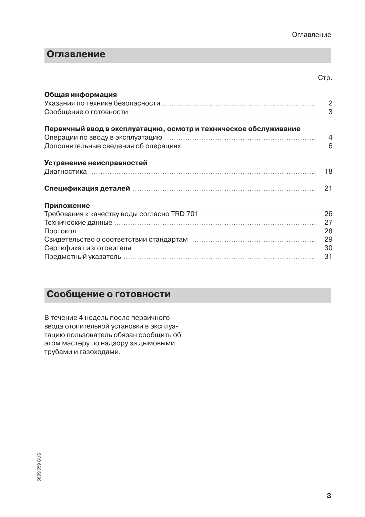# Оглавление

#### Стр.

| Общая информация                                                                                               | 3  |
|----------------------------------------------------------------------------------------------------------------|----|
| Первичный ввод в эксплуатацию, осмотр и техническое обслуживание                                               |    |
| Операции по вводу в эксплуатацию пополнительностролительностранного 4                                          |    |
|                                                                                                                |    |
| Устранение неисправностей                                                                                      |    |
|                                                                                                                |    |
| Спецификация деталей пополнительности политического составительности и политического составительности и состав | 21 |
| Приложение                                                                                                     |    |
|                                                                                                                |    |
|                                                                                                                |    |
|                                                                                                                |    |
|                                                                                                                | 29 |
|                                                                                                                |    |
|                                                                                                                | 31 |
|                                                                                                                |    |

# Сообщение о готовности

В течение 4 недель после первичного ввода отопительной установки в эксплуатацию пользователь обязан сообщить об этом мастеру по надзору за дымовыми трубами и газоходами.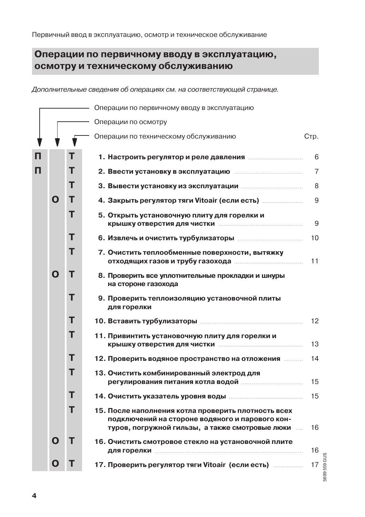# Операции по первичному вводу в эксплуатацию. осмотру и техническому обслуживанию

Дополнительные сведения об операциях см. на соответствующей странице.

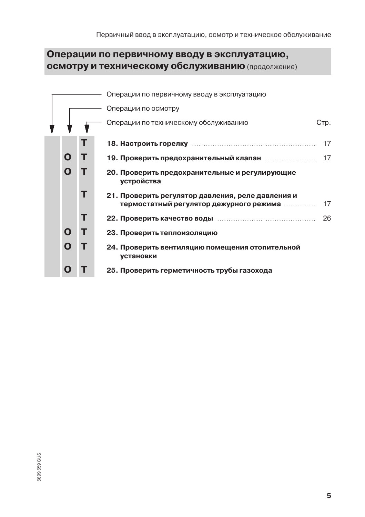# Операции по первичному вводу в эксплуатацию, осмотру и техническому обслуживанию (продолжение)

|   |   | Операции по первичному вводу в эксплуатацию                  |      |
|---|---|--------------------------------------------------------------|------|
|   |   | Операции по осмотру                                          |      |
|   |   | Операции по техническому обслуживанию                        | Стр. |
|   | Т |                                                              | 17   |
| O | т |                                                              | 17   |
| O | т | 20. Проверить предохранительные и регулирующие<br>устройства |      |
|   | т | 21. Проверить регулятор давления, реле давления и            | 17   |
|   | т |                                                              | 26   |
| O | т | 23. Проверить теплоизоляцию                                  |      |
| O | т | 24. Проверить вентиляцию помещения отопительной<br>установки |      |
| O |   | 25. Проверить герметичность трубы газохода                   |      |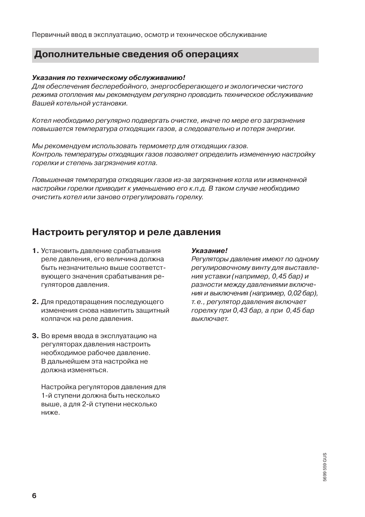Первичный ввод в эксплуатацию, осмотр и техническое обслуживание

### Дополнительные сведения об операциях

#### Указания по техническому обслуживанию!

Для обеспечения бесперебойного, энергосберегающего и экологически чистого режима отопления мы рекомендуем регулярно проводить техническое обслуживание Вашей котельной установки.

Котел необходимо регулярно подвергать очистке, иначе по мере его загрязнения повышается температура отходящих газов, а следовательно и потеря энергии.

Мы рекомендуем использовать термометр для отходящих газов. Контроль температуры отходящих газов позволяет определить измененную настройку горелки и степень загрязнения котла.

Повышенная температура отходящих газов из-за загрязнения котла или измененной настройки горелки приводит к уменьшению его к.п.д. В таком случае необходимо очистить котел или заново отрегулировать горелку.

### Настроить регулятор и реле давления

- 1. Установить давление срабатывания реле давления, его величина должна быть незначительно выше соответствующего значения срабатывания регуляторов давления.
- 2. Для предотвращения последующего изменения снова навинтить защитный колпачок на реле давления.
- 3. Во время ввода в эксплуатацию на регуляторах давления настроить необходимое рабочее давление. В дальнейшем эта настройка не должна изменяться.

Настройка регуляторов давления для 1-й ступени должна быть несколько выше, а для 2-й ступени несколько ниже.

#### Указание!

Регуляторы давления имеют по одному регулировочному винту для выставления уставки (например, 0,45 бар) и разности между давлениями включения и выключения (например, 0,02 бар), т.е., регулятор давления включает горелку при 0.43 бар, а при 0.45 бар выключает.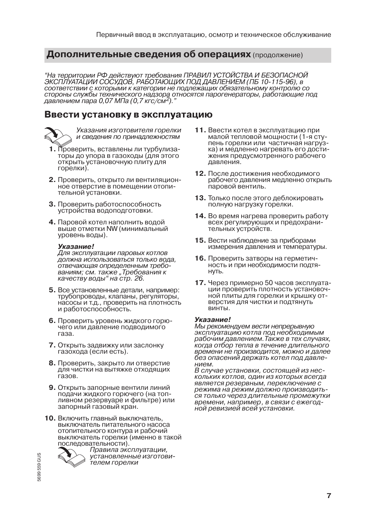"На территории РФ действуют требования ПРАВИЛ УСТОЙСТВА И БЕЗОПАСНОЙ<br>ЭКСПЛУАТАЦИИ СОСУДОВ, РАБОТАЮЩИХ ПОД ДАВЛЕНИЕМ (ПБ 10-115-96), в соответствии с которыми к категории не подлежащих обязательному контролю со стороны службы технического надзора относятся парогенераторы, работающие под

### Ввести установку в эксплуатацию



Указания изготовителя горелки и сведения по принадлежностям

- 1. Проверить, вставлены ли турбулизаторы до упора в газоходы (для этого открыть установочную плиту для горелки).
- 2. Проверить, открыто ли вентиляционное отверстие в помещении отопительной установки.
- 3. Проверить работоспособность устройства водоподготовки.
- 4. Паровой котел наполнить водой выше отметки NW (минимальный уровень воды).

#### Указание!

Для эксплуатации паровых котлов должна использоваться только вода. отвечающая определенным требованиям; см. также "Требования к качеству воды" на стр. 26.

- 5. Все установленные детали, например: трубопроводы, клапаны, регуляторы, насосы и т.д., проверить на плотность и работоспособность.
- 6. Проверить уровень жидкого горючего или давление подводимого газа.
- 7. Открыть задвижку или заслонку газохода (если есть).
- 8. Проверить, закрыто ли отверстие для чистки на вытяжке отходящих газов.
- 9. Открыть запорные вентили линий подачи жидкого горючего (на топливном резервуаре и фильтре) или запорный газовый кран.
- 10. Включить главный выключатель, выключатель питательного насоса отопительного контура и рабочий выключатель горелки (именно в такой последовательности).



Правила эксплуатации. установленные изготови-.<br>телем горелки

- 11. Ввести котел в эксплуатацию при малой тепловой мощности (1-я ступень горелки или частичная нагрузка) и медленно нагревать его достижения предусмотренного рабочего лавления.
- 12. После достижения необходимого рабочего давления медленно открыть паровой вентиль.
- 13. Только после этого деблокировать полную нагрузку горелки.
- 14. Во время нагрева проверить работу всех регулирующих и предохранительных устройств.
- 15. Вести наблюдение за приборами измерения давления и температуры.
- 16. Проверить затворы на герметичность и при необходимости подтя-HVTЬ.
- 17. Через примерно 50 часов эксплуатации проверить плотность установочной плиты для горелки и крышку отверстия для чистки и подтянуть винты.

#### Указание!

Мы рекомендуем вести непрерывную эксплуатацию котла под необходимым рабочим давлением. Также в тех случаях, когда отбор тепла в течение длительного времени не производится, можно и далее без опасений держать котел под давлением.

В случае установки, состоящей из нескольких котлов, один из которых всегда является резервным, переключение с режима на режим должно производиться только через длительные промежутки времени, например, в связи с ежегодной ревизией всей установки.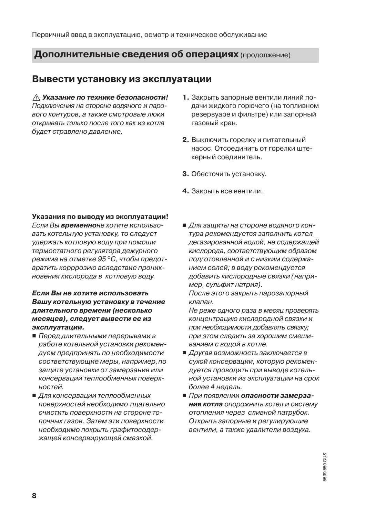### Вывести установку из эксплуатации

∧ Указание по технике безопасности! Подключения на стороне водяного и парового контуров, а также смотровые люки открывать только после того как из котла будет стравлено давление.

- 1. Закрыть запорные вентили линий подачи жидкого горючего (на топливном резервуаре и фильтре) или запорный газовый кран.
- 2. Выключить горелку и питательный насос. Отсоединить от горелки штекерный соединитель.
- 3. Обесточить установку.
- 4. Закрыть все вентили.

#### Указания по выводу из эксплуатации!

Если Вы временноне хотите использовать котельную установку, то следует удержать котловую воду при помощи термостатного регулятора дежурного режима на отметке 95 °С, чтобы предотвратить корррозию вследствие проникновения кислорода в котловую воду.

#### Если Вы не хотите использовать Вашу котельную установку в течение длительного времени (несколько месяцев), следует вывести ее из эксплуатации.

- Перед длительными перерывами в работе котельной установки рекомендуем предпринять по необходимости соответствующие меры, например, по защите установки от замерзания или консервации теплообменных поверхностей.
- Для консервации теплообменных поверхностей необходимо тщательно очистить поверхности на стороне топочных газов. Затем эти поверхности необходимо покрыть графитосодержащей консервирующей смазкой.

■ Для защиты на стороне водяного контура рекомендуется заполнить котел дегазированной водой, не содержащей кислорода, соответствующим образом подготовленной и с низким содержанием солей; в воду рекомендуется добавить кислородные связки (например, сульфит натрия).

После этого закрыть парозапорный клапан.

Не реже одного раза в месяц проверять концентрацию кислородной связки и при необходимости добавлять связку: при этом следить за хорошим смешиванием с водой в котле.

- Другая возможность заключается в сухой консервации, которую рекомендуется проводить при выводе котельной установки из эксплуатации на срок более 4 недель.
- При появлении опасности замерзания котла опорожнить котел и систему отопления через сливной патрубок. Открыть запорные и регулирующие вентили, а также удалители воздуха.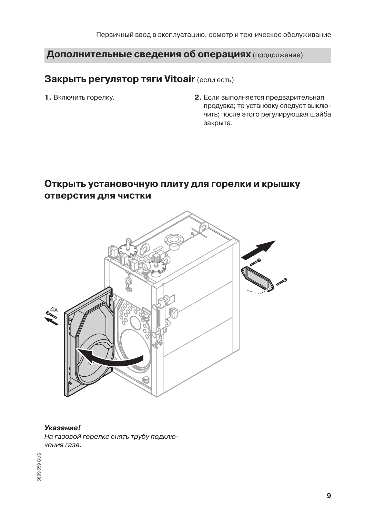### Закрыть регулятор тяги Vitoair (если есть)

1. Включить горелку.

2. Если выполняется предварительная продувка; то установку следует выключить; после этого регулирующая шайба закрыта.

# Открыть установочную плиту для горелки и крышку отверстия для чистки



#### Указание!

На газовой горелке снять трубу подключения газа.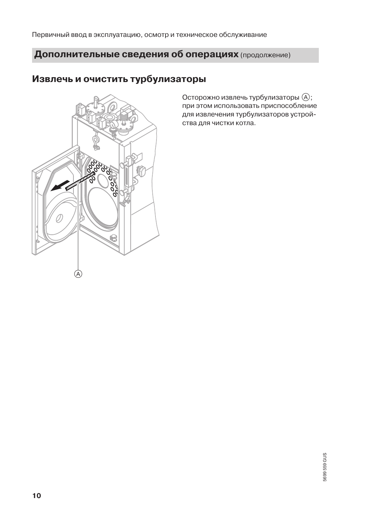Первичный ввод в эксплуатацию, осмотр и техническое обслуживание

# Дополнительные сведения об операциях (продолжение)

# Извлечь и очистить турбулизаторы



Осторожно извлечь турбулизаторы (А); при этом использовать приспособление для извлечения турбулизаторов устройства для чистки котла.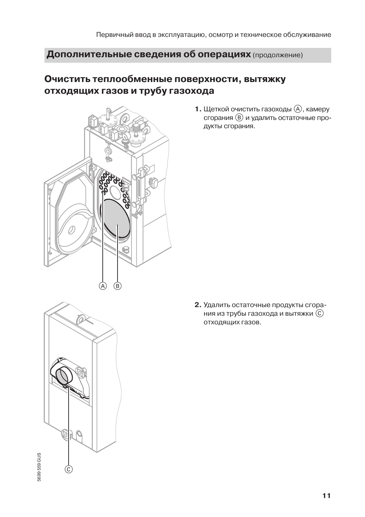# Очистить теплообменные поверхности, вытяжку отходящих газов и трубу газохода



1. Щеткой очистить газоходы (А), камеру сгорания (В) и удалить остаточные продукты сгорания.

5699 559 GUS

2. Удалить остаточные продукты сгорания из трубы газохода и вытяжки  $(\widehat{C})$ отходящих газов.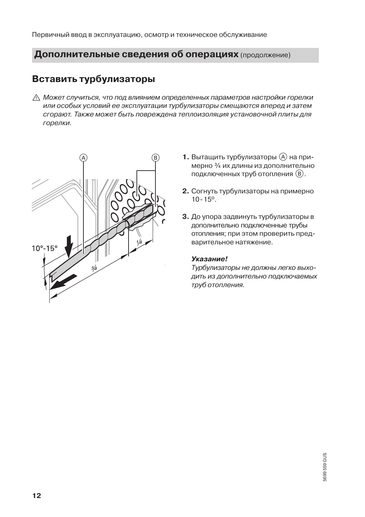Первичный ввод в эксплуатацию, осмотр и техническое обслуживание

## Дополнительные сведения об операциях (продолжение)

## Вставить турбулизаторы

∧ Может случиться, что под влиянием определенных параметров настройки горелки или особых условий ее эксплуатации турбулизаторы смещаются вперед и затем сгорают. Также может быть повреждена теплоизоляция установочной плиты для горелки.



- 1. Вытащить турбулизаторы (А) на примерно 3/4 их длины из дополнительно подключенных труб отопления (В).
- 2. Согнуть турбулизаторы на примерно  $10 - 15^{\circ}$ .
- 3. До упора задвинуть турбулизаторы в дополнительно подключенные трубы отопления; при этом проверить предварительное натяжение.

#### Указание!

Турбулизаторы не должны легко выходить из дополнительно подключаемых труб отопления.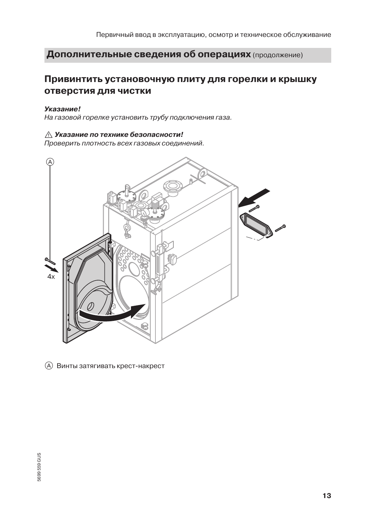### Привинтить установочную плиту для горелки и крышку отверстия для чистки

#### Указание!

На газовой горелке установить трубу подключения газа.

#### ∆ Указание по технике безопасности!

Проверить плотность всех газовых соединений.



<sup>(</sup>A) Винты затягивать крест-накрест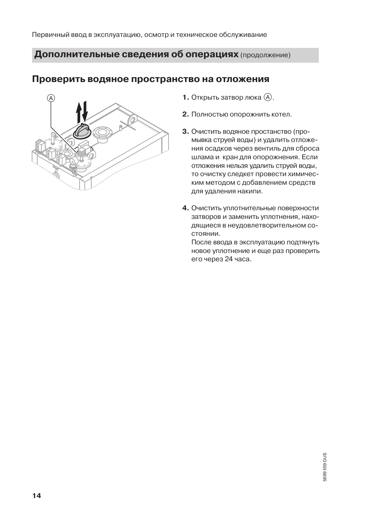### Проверить водяное пространство на отложения



- 1. Открыть затвор люка (А).
- 2. Полностью опорожнить котел.
- 3. Очистить водяное простанство (промывка струей воды) и удалить отложения осадков через вентиль для сброса шлама и кран для опорожнения. Если отложения нельзя удалить струей воды, то очистку следкет провести химическим методом с добавлением средств для удаления накипи.
- 4. Очистить уплотнительные поверхности затворов и заменить уплотнения, находящиеся в неудовлетворительном состоянии.

После ввода в эксплуатацию подтянуть новое уплотнение и еще раз проверить его через 24 часа.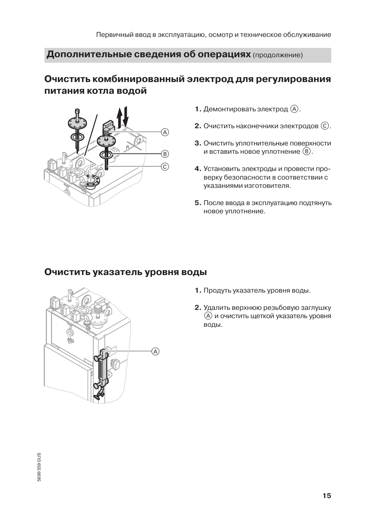# Очистить комбинированный электрод для регулирования питания котла водой



- 1. Демонтировать электрод (А).
- 2. Очистить наконечники электродов  $(\widehat{c})$ .
- 3. Очистить уплотнительные поверхности и вставить новое уплотнение (В).
- 4. Установить электроды и провести проверку безопасности в соответствии с указаниями изготовителя.
- 5. После ввода в эксплуатацию подтянуть новое уплотнение.

### Очистить указатель уровня воды



- 1. Продуть указатель уровня воды.
- 2. Удалить верхнюю резьбовую заглушку (A) и очистить щеткой указатель уровня воды.

5699 559 GUS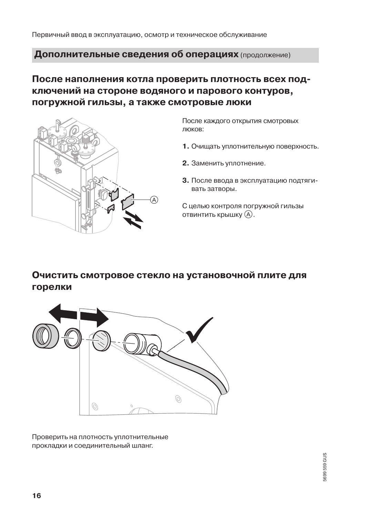# После наполнения котла проверить плотность всех подключений на стороне водяного и парового контуров, погружной гильзы, а также смотровые люки



После каждого открытия смотровых люков:

- 1. Очищать уплотнительную поверхность.
- 2. Заменить уплотнение.
- 3. После ввода в эксплуатацию подтягивать затворы.

С целью контроля погружной гильзы отвинтить крышку (A).

# Очистить смотровое стекло на установочной плите для горелки



Проверить на плотность уплотнительные прокладки и соединительный шланг.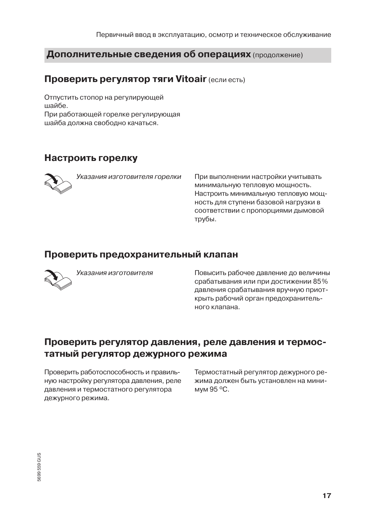# **Проверить регулятор тяги Vitoair (если есть)**

Отпустить стопор на регулирующей шайбе. При работающей горелке регулирующая шайба должна свободно качаться.

# Настроить горелку



Указания изготовителя горелки

При выполнении настройки учитывать минимальную тепловую мощность. Настроить минимальную тепловую мощность для ступени базовой нагрузки в соответствии с пропорциями дымовой трубы.

### Проверить предохранительный клапан



Указания изготовителя

Повысить рабочее давление до величины срабатывания или при достижении 85% давления срабатывания вручную приоткрыть рабочий орган предохранительного клапана.

# Проверить регулятор давления, реле давления и термостатный регулятор дежурного режима

Проверить работоспособность и правильную настройку регулятора давления, реле давления и термостатного регулятора дежурного режима.

Термостатный регулятор дежурного режима должен быть установлен на минимум 95 °С.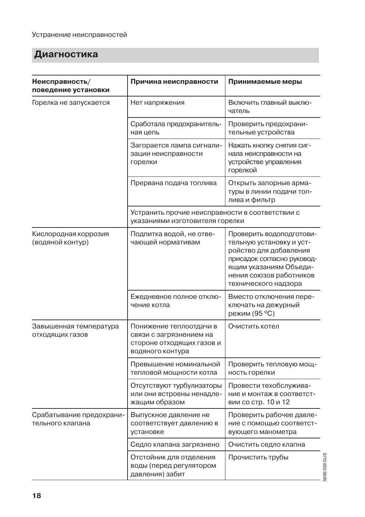# Диагностика

| Неисправность/<br>поведение установки        | Причина неисправности                                                                               | Принимаемые меры                                                                                                                                                                          |              |
|----------------------------------------------|-----------------------------------------------------------------------------------------------------|-------------------------------------------------------------------------------------------------------------------------------------------------------------------------------------------|--------------|
| Горелка не запускается                       | Нет напряжения                                                                                      | Включить главный выклю-<br>чатель                                                                                                                                                         |              |
|                                              | Сработала предохранитель-<br>ная цепь                                                               | Проверить предохрани-<br>тельные устройства                                                                                                                                               |              |
|                                              | Загорается лампа сигнали-<br>зации неисправности<br>горелки                                         | Нажать кнопку снятия сиг-<br>нала неисправности на<br>устройстве управления<br>горелкой                                                                                                   |              |
|                                              | Прервана подача топлива                                                                             | Открыть запорные арма-<br>туры в линии подачи топ-<br>лива и фильтр                                                                                                                       |              |
|                                              | Устранить прочие неисправности в соответствии с<br>указаниями изготовителя горелки                  |                                                                                                                                                                                           |              |
| Кислородная коррозия<br>(водяной контур)     | Подпитка водой, не отве-<br>чающей нормативам                                                       | Проверить водоподготови-<br>тельную установку и уст-<br>ройство для добавления<br>присадок согласно руковод-<br>ящим указаниям Объеди-<br>нения союзов работников<br>технического надзора |              |
|                                              | Ежедневное полное отклю-<br>чение котла                                                             | Вместо отключения пере-<br>ключать на дежурный<br>режим (95 °С)                                                                                                                           |              |
| Завышенная температура<br>отходящих газов    | Понижение теплоотдачи в<br>связи с загрязнением на<br>стороне отходящих газов и<br>водяного контура | Очистить котел                                                                                                                                                                            |              |
|                                              | Превышение номинальной<br>тепловой мощности котла                                                   | Проверить тепловую мощ-<br>ность горелки                                                                                                                                                  |              |
|                                              | Отсутствуют турбулизаторы<br>или они встроены ненадле-<br>жащим образом                             | Провести техобслужива-<br>ние и монтаж в соответст-<br>вии со стр. 10 и 12                                                                                                                |              |
| Срабатывание предохрани-<br>тельного клапана | Выпускное давление не<br>соответствует давлению в<br>установке                                      | Проверить рабочее давле-<br>ние с помощью соответст-<br>вующего манометра                                                                                                                 |              |
|                                              | Седло клапана загрязнено                                                                            | Очистить седло клапна                                                                                                                                                                     |              |
|                                              | Отстойник для отделения<br>воды (перед регулятором<br>давления) забит                               | Прочистить трубы                                                                                                                                                                          | 5699 559 GUS |
|                                              |                                                                                                     |                                                                                                                                                                                           |              |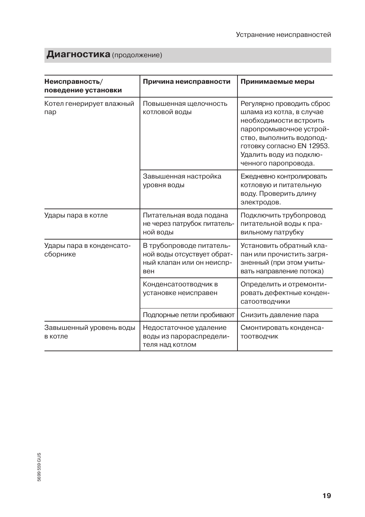# Диагностика (продолжение)

| Неисправность/<br>поведение установки | Причина неисправности                                                                      | Принимаемые меры                                                                                                                                                                                                        |
|---------------------------------------|--------------------------------------------------------------------------------------------|-------------------------------------------------------------------------------------------------------------------------------------------------------------------------------------------------------------------------|
| Котел генерирует влажный<br>пар       | Повышенная щелочность<br>котловой воды                                                     | Регулярно проводить сброс<br>шлама из котла, в случае<br>необходимости встроить<br>паропромывочное устрой-<br>СТВО, ВЫПОЛНИТЬ ВОДОПОД-<br>готовку согласно EN 12953.<br>Удалить воду из подклю-<br>ченного паропровода. |
|                                       | Завышенная настройка<br>уровня воды                                                        | Ежедневно контролировать<br>котловую и питательную<br>воду. Проверить длину<br>электродов.                                                                                                                              |
| Удары пара в котле                    | Питательная вода подана<br>не через патрубок питатель-<br>ной воды                         | Подключить трубопровод<br>питательной воды к пра-<br>вильному патрубку                                                                                                                                                  |
| Удары пара в конденсато-<br>сборнике  | В трубопроводе питатель-<br>ной воды отсуствует обрат-<br>ный клапан или он неиспр-<br>вен | Установить обратный кла-<br>пан или прочистить загря-<br>зненный (при этом учиты-<br>вать направление потока)                                                                                                           |
|                                       | Конденсатоотводчик в<br>установке неисправен                                               | Определить и отремонти-<br>ровать дефектные конден-<br>сатоотводчики                                                                                                                                                    |
|                                       | Подпорные петли пробивают                                                                  | Снизить давление пара                                                                                                                                                                                                   |
| Завышенный уровень воды<br>в котле    | Недостаточное удаление<br>воды из парораспредели-<br>теля над котлом                       | Смонтировать конденса-<br>ТООТВОДЧИК                                                                                                                                                                                    |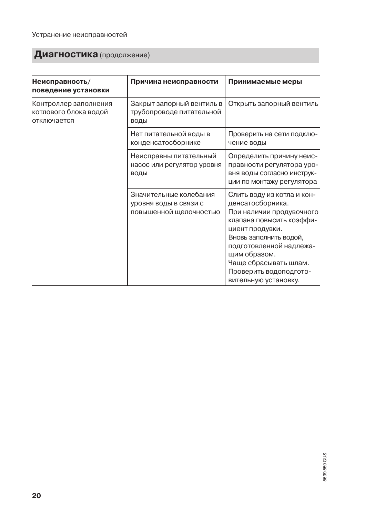# Диагностика (продолжение)

| Неисправность/<br>поведение установки                         | Причина неисправности                                                     | Принимаемые меры                                                                                                                                                                                                                                                          |
|---------------------------------------------------------------|---------------------------------------------------------------------------|---------------------------------------------------------------------------------------------------------------------------------------------------------------------------------------------------------------------------------------------------------------------------|
| Контроллер заполнения<br>котлового блока водой<br>отключается | Закрыт запорный вентиль в<br>трубопроводе питательной<br>ВОДЫ             | Открыть запорный вентиль                                                                                                                                                                                                                                                  |
|                                                               | Нет питательной воды в<br>конденсатосборнике                              | Проверить на сети подклю-<br>чение воды                                                                                                                                                                                                                                   |
|                                                               | Неисправны питательный<br>насос или регулятор уровня<br>воды              | Определить причину неис-<br>правности регулятора уро-<br>вня воды согласно инструк-<br>ции по монтажу регулятора                                                                                                                                                          |
|                                                               | Значительные колебания<br>уровня воды в связи с<br>повышенной щелочностью | Слить воду из котла и кон-<br>денсатосборника.<br>При наличии продувочного<br>клапана повысить коэффи-<br>циент продувки.<br>Вновь заполнить водой,<br>подготовленной надлежа-<br>щим образом.<br>Чаще сбрасывать шлам.<br>Проверить водоподгото-<br>вительную установку. |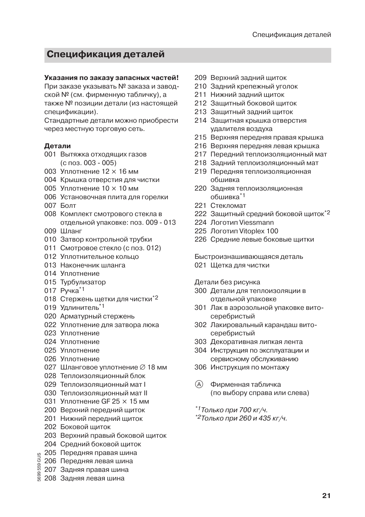# Спецификация деталей

#### Указания по заказу запасных частей!

При заказе указывать № заказа и заводской № (см. фирменную табличку), а также № позиции детали (из настоящей спецификации).

Стандартные детали можно приобрести через местную торговую сеть.

#### Детали

- 001 Вытяжка отходящих газов  $(c$  поз. 003 - 005)
- 003 Уплотнение  $12 \times 16$  мм
- 004 Крышка отверстия для чистки
- 005 Уплотнение 10 х 10 мм
- 006 Установочная плита для горелки
- $007$   $F_{0.01}$
- 008 Комплект смотрового стекла в отдельной упаковке: поз. 009 - 013
- 009 Шланг
- 010 Затвор контрольной трубки
- 011 Смотровое стекло (с поз. 012)
- 012 Уплотнительное кольцо
- 013 Наконечник шланга
- 014 Уплотнение
- 015 Турбулизатор
- 017 Ручка\*1
- 018 Стержень щетки для чистки\*2
- 019 Удлинитель\*1
- 020 Арматурный стержень
- 022 Уплотнение для затвора люка
- 023 Уплотнение
- 024 Уплотнение
- 025 Уплотнение
- 026 Уплотнение
- 027 Шланговое уплотнение Ø 18 мм
- 028 Теплоизоляционный блок
- 029 Теплоизоляционный мат I
- 030 Теплоизоляционный мат II
- 031 Уплотнение GF 25 х 15 мм
- 200 Верхний передний шиток
- 201 Нижний передний щиток
- 202 Боковой шиток
- 203 Верхний правый боковой щиток
- 204 Средний боковой щиток
- $\sim$ р $\sim$ дпии ООКОВОЙ ЩИТО<br> $\frac{9}{9}$  205 Передняя правая шина<br> $\frac{9}{9}$  206 Передняя левая шина<br> $\frac{9}{9}$  207 Залнос прес
	-
	- 207 Задняя правая шина
- $\frac{3}{8}$  208 Задняя левая шина
- 209 Верхний залний шиток
- 210 Задний крепежный уголок
- 211 Нижний залний шиток
- 212 Защитный боковой щиток
- 213 Защитный задний щиток
- 214 Зашитная крышка отверстия удалителя воздуха
- 215 Верхняя передняя правая крышка
- 216 Верхняя передняя левая крышка
- 217 Передний теплоизоляционный мат
- 218 Задний теплоизоляционный мат
- 219 Передняя теплоизоляционная обшивка
- 220 Задняя теплоизоляционная  $n$ "
- 221 Стекломат
- 222 Зашитный средний боковой шиток<sup>\*2</sup>
- 224 Логотип Viessmann
- 225 Логотип Vitoplex 100
- 226 Средние левые боковые щитки

Быстроизнашивающаяся деталь

021 Щетка для чистки

#### Детали без рисунка

- 300 Детали для теплоизоляции в отдельной упаковке
- 301 Лак в аэрозольной упаковке витосеребристый
- 302 Лакировальный карандаш витосеребристый
- 303 Декоративная липкая лента
- 304 Инструкция по эксплуатации и сервисному обслуживанию
- 306 Инструкция по монтажу
- $(A)$ Фирменная табличка (по выбору справа или слева)
- \*1 Только при 700 кг/ч.
- \*2Только при 260 и 435 кг/ч.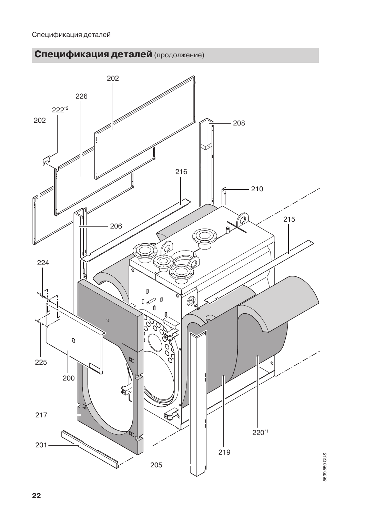



5699 559 GUS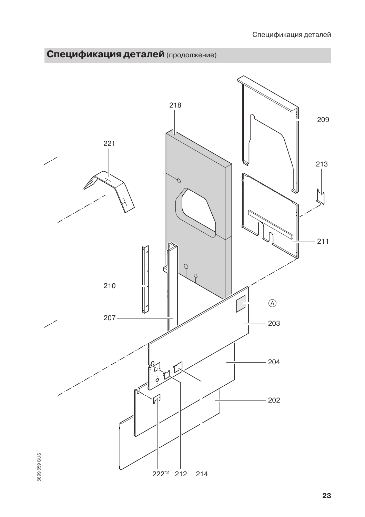

5699 559 GUS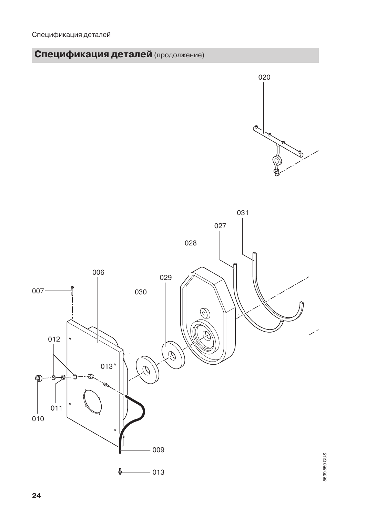



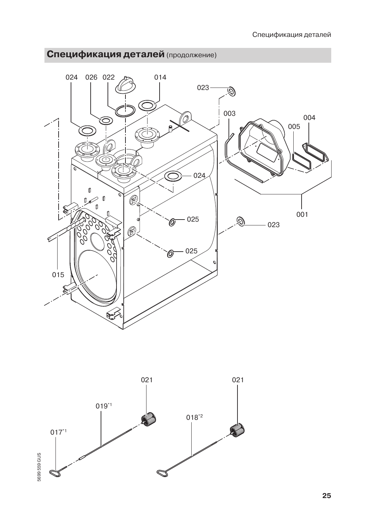



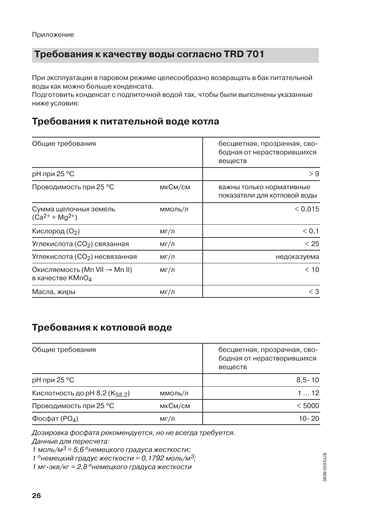## **Требования к качеству воды согласно TRD 701**

При эксплуатации в паровом режиме целесообразно возвращать в бак питательной воды как можно больше конденсата.

Подготовить конденсат с подпиточной водой так, чтобы были выполнены указанные ниже условия:

## Требования к питательной воде котла

| Общие требования                                              |         | бесцветная, прозрачная, сво-<br>бодная от нерастворившихся<br>веществ |
|---------------------------------------------------------------|---------|-----------------------------------------------------------------------|
| рН при 25 °С                                                  |         | > 9                                                                   |
| Проводимость при 25 °С                                        | мкСм/см | важны только нормативные<br>показатели для котловой воды              |
| Сумма щелочных земель<br>$(Ca^{2+} + Mg^{2+})$                | ммоль/л | < 0.015                                                               |
| Кислород (О2)                                                 | мг/л    | < 0, 1                                                                |
| Углекислота (СО2) связанная                                   | мг/л    | < 25                                                                  |
| Углекислота (СО <sub>2</sub> ) несвязанная                    | мг/л    | недоказуема                                                           |
| Окисляемость (Mn VII → Mn II)<br>в качестве KMnO <sub>4</sub> | мг/л    | < 10                                                                  |
| Масла, жиры                                                   | мг/л    | $<$ 3                                                                 |

# Требования к котловой воде

| Общие требования              | бесцветная, прозрачная, сво-<br>бодная от нерастворившихся<br>веществ |            |
|-------------------------------|-----------------------------------------------------------------------|------------|
| рН при 25 °С                  |                                                                       | $8,5 - 10$ |
| Кислотность до pH 8,2 (KS8 2) | ммоль/л                                                               | 112        |
| Проводимость при 25 °С        | мкСм/см                                                               | < 5000     |
| Фосфат ( $PO4$ )              | мг/л                                                                  | $10 - 20$  |

Дозировка фосфата рекомендуется, но не всегда требуется.

Данные для пересчета:

1 моль/м<sup>3</sup> = 5,6 ° немецкого градуса жесткости;

1 ° немецкий градус жесткости = 0, 1792 моль/м<sup>3</sup>;

1 мг-экв/кг = 2,8 ° немецкого градуса жесткости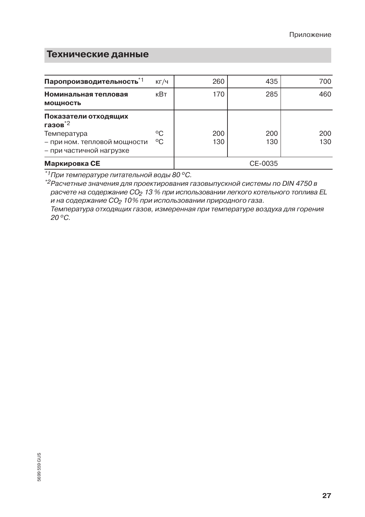# Технические данные

| Паропроизводительность*1                                                                                                   | КГ/Ч     | 260        | 435        | 700        |
|----------------------------------------------------------------------------------------------------------------------------|----------|------------|------------|------------|
| Номинальная тепловая<br><b>МОЩНОСТЬ</b>                                                                                    | кВт      | 170        | 285        | 460        |
| Показатели отходящих<br>газов $^*$ <sup>2</sup><br>Температура<br>- при ном. тепловой мощности<br>– при частичной нагрузке | °C<br>°C | 200<br>130 | 200<br>130 | 200<br>130 |
| Маркировка СЕ                                                                                                              |          |            | CE-0035    |            |

<sup>\*1</sup>При температуре питательной воды 80 °С.

\*2 Расчетные значения для проектирования газовыпускной системы по DIN 4750 в расчете на содержание СО<sub>2</sub> 13 % при использовании легкого котельного топлива EL и на содержание СО<sub>2</sub> 10% при использовании природного газа.

Температура отходящих газов, измеренная при температуре воздуха для горения 20 °C.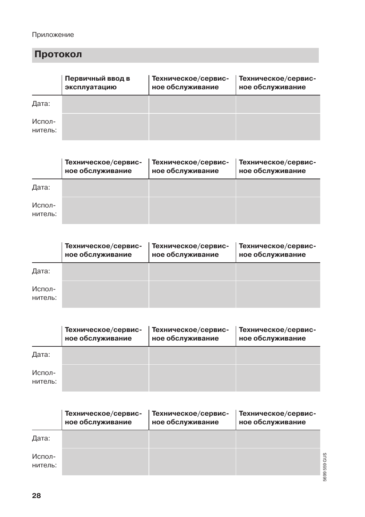### Приложение

# Протокол

|                   | Первичный ввод в<br>эксплуатацию | Техническое/сервис-<br>ное обслуживание | Техническое/сервис-<br>ное обслуживание |
|-------------------|----------------------------------|-----------------------------------------|-----------------------------------------|
| Дата:             |                                  |                                         |                                         |
| Испол-<br>нитель: |                                  |                                         |                                         |

|                   | Техническое/сервис-<br>ное обслуживание | Техническое/сервис-<br>ное обслуживание | Техническое/сервис-<br>ное обслуживание |
|-------------------|-----------------------------------------|-----------------------------------------|-----------------------------------------|
| Дата:             |                                         |                                         |                                         |
| Испол-<br>нитель: |                                         |                                         |                                         |

|                   | Техническое/сервис-<br>ное обслуживание | Техническое/сервис-<br>ное обслуживание | Техническое/сервис-<br>ное обслуживание |
|-------------------|-----------------------------------------|-----------------------------------------|-----------------------------------------|
| Дата:             |                                         |                                         |                                         |
| Испол-<br>нитель: |                                         |                                         |                                         |

|                   | Техническое/сервис-<br>ное обслуживание | Техническое/сервис-<br>ное обслуживание | Техническое/сервис-<br>ное обслуживание |
|-------------------|-----------------------------------------|-----------------------------------------|-----------------------------------------|
| Дата:             |                                         |                                         |                                         |
| Испол-<br>нитель: |                                         |                                         |                                         |

|                   | Техническое/сервис-<br>ное обслуживание | Техническое/сервис-<br>ное обслуживание | Техническое/сервис-<br>ное обслуживание |         |
|-------------------|-----------------------------------------|-----------------------------------------|-----------------------------------------|---------|
| Дата:             |                                         |                                         |                                         |         |
| Испол-<br>нитель: |                                         |                                         |                                         | 559 GUS |
|                   |                                         |                                         |                                         | 5699    |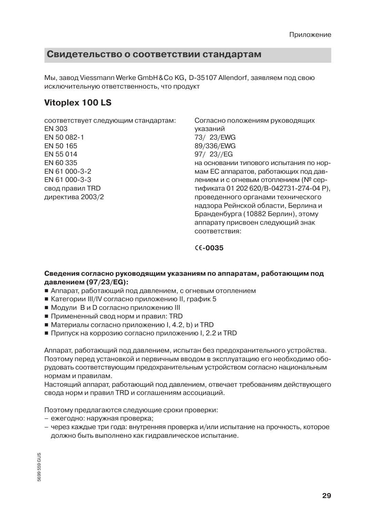### Свидетельство о соответствии стандартам

Мы, завод Viessmann Werke GmbH & Co KG, D-35107 Allendorf, заявляем под свою ИСКЛЮЧИТЕЛЬНУЮ ОТВЕТСТВЕННОСТЬ, ЧТО ПООДУКТ

### **Vitoplex 100 LS**

соответствует следующим стандартам: FN 303 EN 50 082-1 EN 50 165 FN 55014 EN 60 335 FN 61 000-3-2 FN 61 000-3-3 свод правил TRD директива 2003/2

Согласно положениям руководящих указаний 73/23/EWG 89/336/EWG 97/ 23//EG на основании типового испытания по нормам ЕС аппаратов, работающих под давлением и с огневым отоплением (№ сертификата 01 202 620/В-042731-274-04 Р), проведенного органами технического надзора Рейнской области, Берлина и Бранденбурга (10882 Берлин), этому аппарату присвоен следующий знак COOTBATCTBUS:

#### $C_{0.035}$

#### Сведения согласно руководящим указаниям по аппаратам, работающим под давлением (97/23/EG):

- Аппарат, работающий под давлением, с огневым отоплением
- $\blacksquare$  Категории III/IV согласно приложению II, график 5
- Модули В и D согласно приложению III
- Примененный свод норм и правил: TRD
- Материалы согласно приложению I, 4.2, b) и TRD
- Припуск на коррозию согласно приложению I, 2.2 и TRD

Аппарат, работающий под давлением, испытан без предохранительного устройства. Поэтому перед установкой и первичным вводом в эксплуатацию его необходимо оборудовать соответствующим предохранительным устройством согласно национальным нормам и правилам.

Настоящий аппарат, работающий под давлением, отвечает требованиям действующего свода норм и правил TRD и соглашениям ассоциаций.

Поэтому предлагаются следующие сроки проверки:

- ежегодно: наружная проверка;
- через каждые три года: внутренняя проверка и/или испытание на прочность, которое должно быть выполнено как гидравлическое испытание.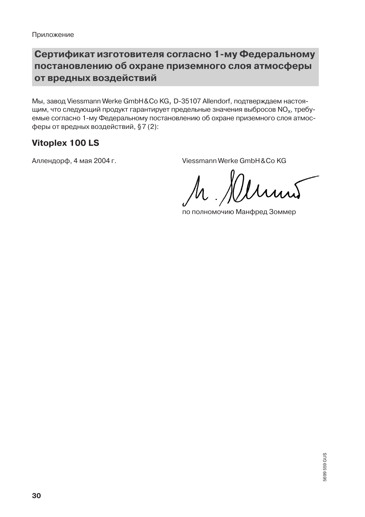# Сертификат изготовителя согласно 1-му Федеральному постановлению об охране приземного слоя атмосферы от вредных воздействий

Мы, завод Viessmann Werke GmbH&Co KG, D-35107 Allendorf, подтверждаем настоящим, что следующий продукт гарантирует предельные значения выбросов NO<sub>x</sub>, требуемые согласно 1-му Федеральному постановлению об охране приземного слоя атмосферы от вредных воздействий, §7 (2):

# **Vitoplex 100 LS**

Аллендорф, 4 мая 2004 г.

Viessmann Werke GmbH & Co KG

по полномочию Манфред Зоммер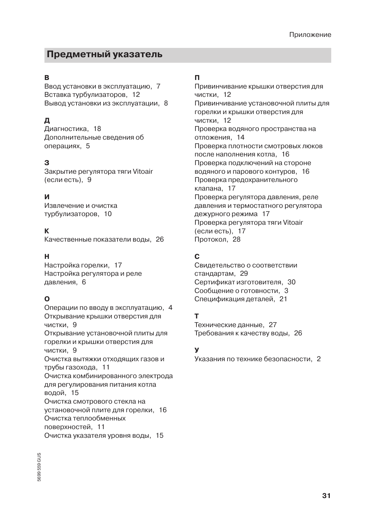# Предметный указатель

#### R.

Ввод установки в эксплуатацию. 7 Вставка турбулизаторов, 12 Вывод установки из эксплуатации, 8

### Д

Диагностика, 18 Дополнительные сведения об операциях, 5

### З

Закрытие регулятора тяги Vitoair (если есть), 9

#### И

Извлечение и очистка турбулизаторов, 10

### K

Качественные показатели воды, 26

#### н

Настройка горелки, 17 Настройка регулятора и реле давления, 6

### $\Omega$

Операции по вводу в эксплуатацию, 4 Открывание крышки отверстия для чистки. 9 Открывание установочной плиты для горелки и крышки отверстия для чистки, 9 Очистка вытяжки отходящих газов и трубы газохода, 11 Очистка комбинированного электрода для регулирования питания котла водой, 15 Очистка смотрового стекла на установочной плите для горелки, 16 Очистка теплообменных поверхностей, 11 Очистка указателя уровня воды, 15

### $\mathbf{u}$

Привинчивание крышки отверстия для чистки. 12 Привинчивание установочной плиты для горелки и крышки отверстия для чистки. 12 Проверка водяного пространства на отложения. 14 Проверка плотности смотровых люков после наполнения котла, 16 Проверка подключений на стороне водяного и парового контуров, 16 Проверка предохранительного клапана, 17 Проверка регулятора давления, реле давления и термостатного регулятора дежурного режима 17 Проверка регулятора тяги Vitoair (если есть), 17 Протокол, 28

### C.

Свидетельство о соответствии стандартам. 29 Сертификат изготовителя, 30 Сообщение о готовности, 3 Спецификация деталей, 21

### т

Технические данные, 27 Требования к качеству воды, 26

### $\mathbf{y}$

Указания по технике безопасности, 2